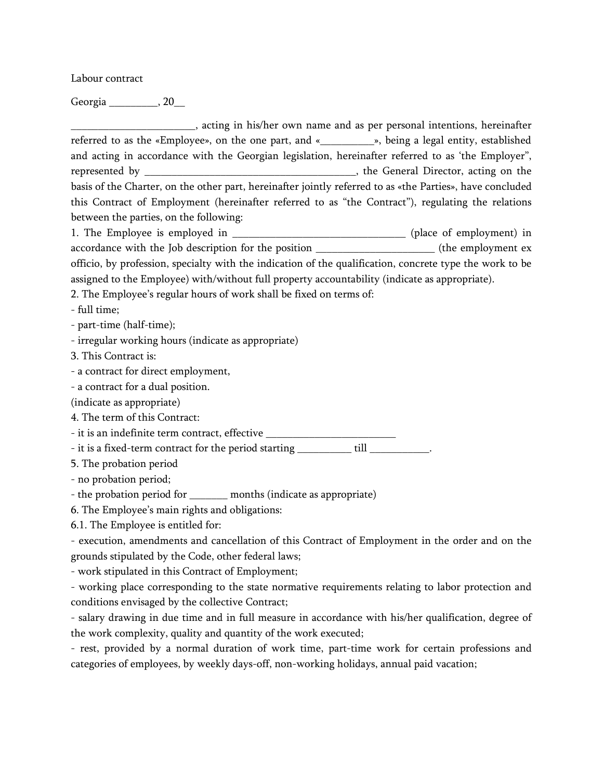Labour contract

Georgia 20

\_\_\_\_\_\_\_\_\_\_\_\_\_\_\_\_\_\_\_\_\_\_\_, acting in his/her own name and as per personal intentions, hereinafter referred to as the «Employee», on the one part, and «\_\_\_\_\_\_\_\_\_\_», being a legal entity, established and acting in accordance with the Georgian legislation, hereinafter referred to as 'the Employer", represented by \_\_\_\_\_\_\_\_\_\_\_\_\_\_\_\_\_\_\_\_\_\_\_\_\_\_\_\_\_\_\_\_\_\_\_\_\_\_\_, the General Director, acting on the basis of the Charter, on the other part, hereinafter jointly referred to as «the Parties», have concluded this Contract of Employment (hereinafter referred to as "the Contract"), regulating the relations between the parties, on the following: 1. The Employee is employed in \_\_\_\_\_\_\_\_\_\_\_\_\_\_\_\_\_\_\_\_\_\_\_\_\_\_\_\_\_\_\_\_\_\_ (place of employment) in accordance with the Job description for the position \_\_\_\_\_\_\_\_\_\_\_\_\_\_\_\_\_\_\_\_\_\_ (the employment ex officio, by profession, specialty with the indication of the qualification, concrete type the work to be assigned to the Employee) with/without full property accountability (indicate as appropriate). 2. The Employee's regular hours of work shall be fixed on terms of: - full time; - part-time (half-time); - irregular working hours (indicate as appropriate) 3. This Contract is: - a contract for direct employment, - a contract for a dual position. (indicate as appropriate) 4. The term of this Contract: - it is an indefinite term contract, effective \_\_\_\_\_\_\_\_\_\_\_\_\_\_\_\_\_\_\_\_\_\_\_\_\_\_\_\_\_\_\_\_\_ - it is a fixed-term contract for the period starting \_\_\_\_\_\_\_\_\_\_\_\_ till \_\_\_\_\_\_\_\_\_\_\_. 5. The probation period - no probation period; - the probation period for \_\_\_\_\_\_\_ months (indicate as appropriate) 6. The Employee's main rights and obligations: 6.1. The Employee is entitled for: - execution, amendments and cancellation of this Contract of Employment in the order and on the grounds stipulated by the Code, other federal laws; - work stipulated in this Contract of Employment; - working place corresponding to the state normative requirements relating to labor protection and conditions envisaged by the collective Contract; - salary drawing in due time and in full measure in accordance with his/her qualification, degree of

the work complexity, quality and quantity of the work executed; - rest, provided by a normal duration of work time, part-time work for certain professions and categories of employees, by weekly days-off, non-working holidays, annual paid vacation;